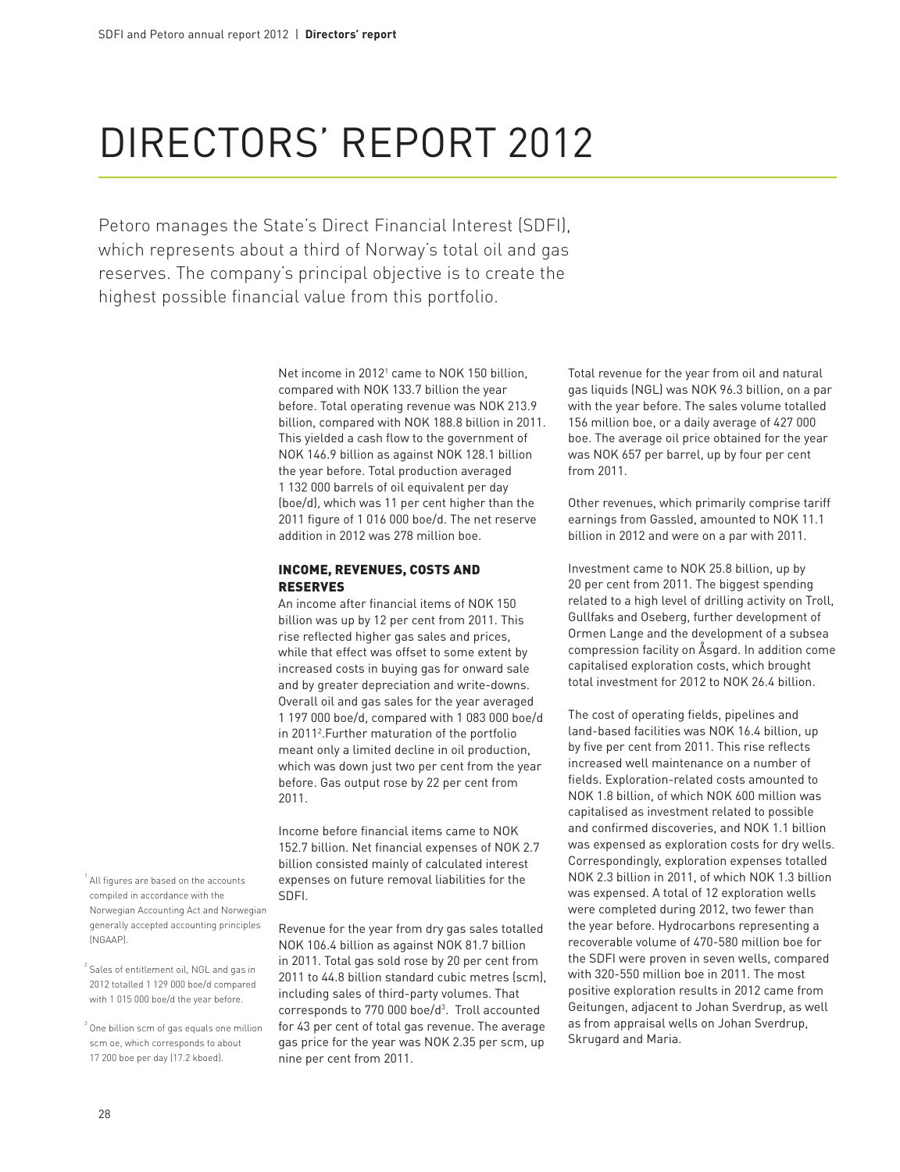# Directors' report 2012

Petoro manages the State's Direct Financial Interest (SDFI), which represents about a third of Norway's total oil and gas reserves. The company's principal objective is to create the highest possible financial value from this portfolio.

> Net income in 2012<sup>1</sup> came to NOK 150 billion, compared with NOK 133.7 billion the year before. Total operating revenue was NOK 213.9 billion, compared with NOK 188.8 billion in 2011. This yielded a cash flow to the government of NOK 146.9 billion as against NOK 128.1 billion the year before. Total production averaged 1 132 000 barrels of oil equivalent per day (boe/d), which was 11 per cent higher than the 2011 figure of 1 016 000 boe/d. The net reserve addition in 2012 was 278 million boe.

#### Income, revenues, costs and reserves

An income after financial items of NOK 150 billion was up by 12 per cent from 2011. This rise reflected higher gas sales and prices, while that effect was offset to some extent by increased costs in buying gas for onward sale and by greater depreciation and write-downs. Overall oil and gas sales for the year averaged 1 197 000 boe/d, compared with 1 083 000 boe/d in 20112 .Further maturation of the portfolio meant only a limited decline in oil production, which was down just two per cent from the year before. Gas output rose by 22 per cent from 2011.

Income before financial items came to NOK 152.7 billion. Net financial expenses of NOK 2.7 billion consisted mainly of calculated interest expenses on future removal liabilities for the SDFI.

Revenue for the year from dry gas sales totalled NOK 106.4 billion as against NOK 81.7 billion in 2011. Total gas sold rose by 20 per cent from 2011 to 44.8 billion standard cubic metres (scm), including sales of third-party volumes. That corresponds to 770 000 boe/d<sup>3</sup>. Troll accounted for 43 per cent of total gas revenue. The average gas price for the year was NOK 2.35 per scm, up nine per cent from 2011.

Total revenue for the year from oil and natural gas liquids (NGL) was NOK 96.3 billion, on a par with the year before. The sales volume totalled 156 million boe, or a daily average of 427 000 boe. The average oil price obtained for the year was NOK 657 per barrel, up by four per cent from 2011.

Other revenues, which primarily comprise tariff earnings from Gassled, amounted to NOK 11.1 billion in 2012 and were on a par with 2011.

Investment came to NOK 25.8 billion, up by 20 per cent from 2011. The biggest spending related to a high level of drilling activity on Troll, Gullfaks and Oseberg, further development of Ormen Lange and the development of a subsea compression facility on Åsgard. In addition come capitalised exploration costs, which brought total investment for 2012 to NOK 26.4 billion.

The cost of operating fields, pipelines and land-based facilities was NOK 16.4 billion, up by five per cent from 2011. This rise reflects increased well maintenance on a number of fields. Exploration-related costs amounted to NOK 1.8 billion, of which NOK 600 million was capitalised as investment related to possible and confirmed discoveries, and NOK 1.1 billion was expensed as exploration costs for dry wells. Correspondingly, exploration expenses totalled NOK 2.3 billion in 2011, of which NOK 1.3 billion was expensed. A total of 12 exploration wells were completed during 2012, two fewer than the year before. Hydrocarbons representing a recoverable volume of 470-580 million boe for the SDFI were proven in seven wells, compared with 320-550 million boe in 2011. The most positive exploration results in 2012 came from Geitungen, adjacent to Johan Sverdrup, as well as from appraisal wells on Johan Sverdrup, Skrugard and Maria.

<sup>1</sup> All figures are based on the accounts compiled in accordance with the Norwegian Accounting Act and Norwegian generally accepted accounting principles (NGAAP).

 $^2$  Sales of entitlement oil, NGL and gas in 2012 totalled 1 129 000 boe/d compared with 1 015 000 boe/d the year before.

 $^3$  One billion scm of gas equals one million scm oe, which corresponds to about 17 200 boe per day (17.2 kboed).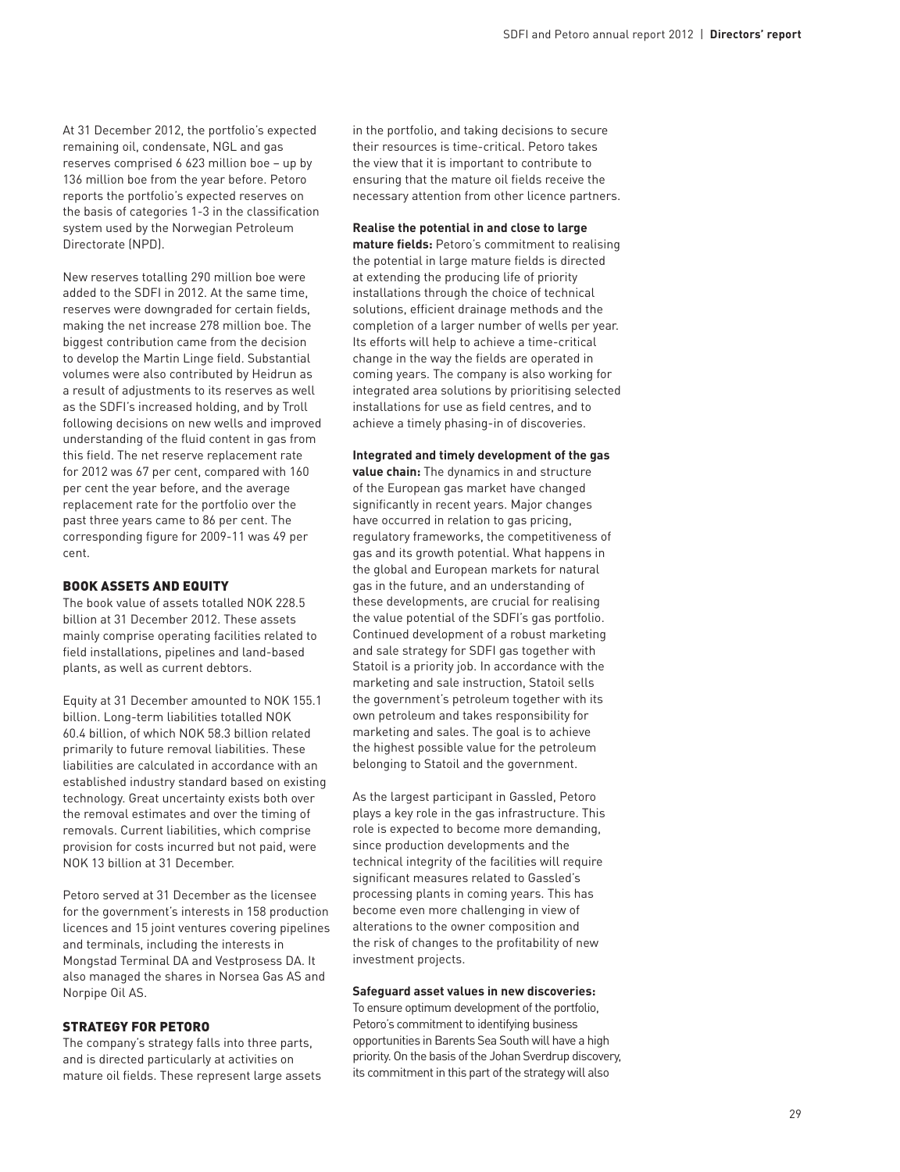At 31 December 2012, the portfolio's expected remaining oil, condensate, NGL and gas reserves comprised 6 623 million boe – up by 136 million boe from the year before. Petoro reports the portfolio's expected reserves on the basis of categories 1-3 in the classification system used by the Norwegian Petroleum Directorate (NPD).

New reserves totalling 290 million boe were added to the SDFI in 2012. At the same time, reserves were downgraded for certain fields, making the net increase 278 million boe. The biggest contribution came from the decision to develop the Martin Linge field. Substantial volumes were also contributed by Heidrun as a result of adjustments to its reserves as well as the SDFI's increased holding, and by Troll following decisions on new wells and improved understanding of the fluid content in gas from this field. The net reserve replacement rate for 2012 was 67 per cent, compared with 160 per cent the year before, and the average replacement rate for the portfolio over the past three years came to 86 per cent. The corresponding figure for 2009-11 was 49 per cent.

#### Book assets and equity

The book value of assets totalled NOK 228.5 billion at 31 December 2012. These assets mainly comprise operating facilities related to field installations, pipelines and land-based plants, as well as current debtors.

Equity at 31 December amounted to NOK 155.1 billion. Long-term liabilities totalled NOK 60.4 billion, of which NOK 58.3 billion related primarily to future removal liabilities. These liabilities are calculated in accordance with an established industry standard based on existing technology. Great uncertainty exists both over the removal estimates and over the timing of removals. Current liabilities, which comprise provision for costs incurred but not paid, were NOK 13 billion at 31 December.

Petoro served at 31 December as the licensee for the government's interests in 158 production licences and 15 joint ventures covering pipelines and terminals, including the interests in Mongstad Terminal DA and Vestprosess DA. It also managed the shares in Norsea Gas AS and Norpipe Oil AS.

## Strategy for Petoro

The company's strategy falls into three parts, and is directed particularly at activities on mature oil fields. These represent large assets in the portfolio, and taking decisions to secure their resources is time-critical. Petoro takes the view that it is important to contribute to ensuring that the mature oil fields receive the necessary attention from other licence partners.

#### **Realise the potential in and close to large**

**mature fields:** Petoro's commitment to realising the potential in large mature fields is directed at extending the producing life of priority installations through the choice of technical solutions, efficient drainage methods and the completion of a larger number of wells per year. Its efforts will help to achieve a time-critical change in the way the fields are operated in coming years. The company is also working for integrated area solutions by prioritising selected installations for use as field centres, and to achieve a timely phasing-in of discoveries.

#### **Integrated and timely development of the gas**

**value chain:** The dynamics in and structure of the European gas market have changed significantly in recent years. Major changes have occurred in relation to gas pricing, regulatory frameworks, the competitiveness of gas and its growth potential. What happens in the global and European markets for natural gas in the future, and an understanding of these developments, are crucial for realising the value potential of the SDFI's gas portfolio. Continued development of a robust marketing and sale strategy for SDFI gas together with Statoil is a priority job. In accordance with the marketing and sale instruction, Statoil sells the government's petroleum together with its own petroleum and takes responsibility for marketing and sales. The goal is to achieve the highest possible value for the petroleum belonging to Statoil and the government.

As the largest participant in Gassled, Petoro plays a key role in the gas infrastructure. This role is expected to become more demanding, since production developments and the technical integrity of the facilities will require significant measures related to Gassled's processing plants in coming years. This has become even more challenging in view of alterations to the owner composition and the risk of changes to the profitability of new investment projects.

#### **Safeguard asset values in new discoveries:**

To ensure optimum development of the portfolio, Petoro's commitment to identifying business opportunities in Barents Sea South will have a high priority. On the basis of the Johan Sverdrup discovery, its commitment in this part of the strategy will also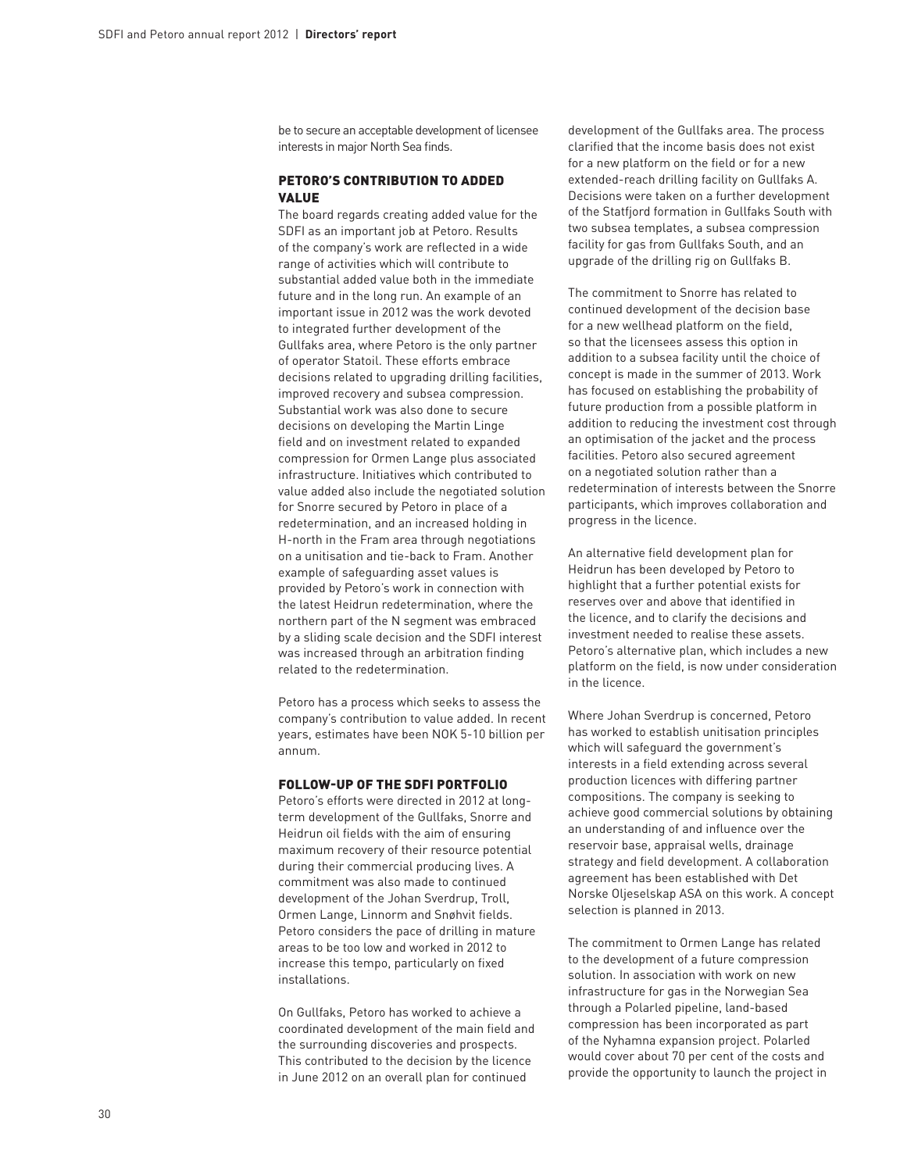be to secure an acceptable development of licensee interests in major North Sea finds.

#### PETORO'S CONTRIBUTION TO ADDED value

The board regards creating added value for the SDFI as an important job at Petoro. Results of the company's work are reflected in a wide range of activities which will contribute to substantial added value both in the immediate future and in the long run. An example of an important issue in 2012 was the work devoted to integrated further development of the Gullfaks area, where Petoro is the only partner of operator Statoil. These efforts embrace decisions related to upgrading drilling facilities, improved recovery and subsea compression. Substantial work was also done to secure decisions on developing the Martin Linge field and on investment related to expanded compression for Ormen Lange plus associated infrastructure. Initiatives which contributed to value added also include the negotiated solution for Snorre secured by Petoro in place of a redetermination, and an increased holding in H-north in the Fram area through negotiations on a unitisation and tie-back to Fram. Another example of safeguarding asset values is provided by Petoro's work in connection with the latest Heidrun redetermination, where the northern part of the N segment was embraced by a sliding scale decision and the SDFI interest was increased through an arbitration finding related to the redetermination.

Petoro has a process which seeks to assess the company's contribution to value added. In recent years, estimates have been NOK 5-10 billion per annum.

# Follow-up of the SDFI portfolio

Petoro's efforts were directed in 2012 at longterm development of the Gullfaks, Snorre and Heidrun oil fields with the aim of ensuring maximum recovery of their resource potential during their commercial producing lives. A commitment was also made to continued development of the Johan Sverdrup, Troll, Ormen Lange, Linnorm and Snøhvit fields. Petoro considers the pace of drilling in mature areas to be too low and worked in 2012 to increase this tempo, particularly on fixed installations.

On Gullfaks, Petoro has worked to achieve a coordinated development of the main field and the surrounding discoveries and prospects. This contributed to the decision by the licence in June 2012 on an overall plan for continued

development of the Gullfaks area. The process clarified that the income basis does not exist for a new platform on the field or for a new extended-reach drilling facility on Gullfaks A. Decisions were taken on a further development of the Statfjord formation in Gullfaks South with two subsea templates, a subsea compression facility for gas from Gullfaks South, and an upgrade of the drilling rig on Gullfaks B.

The commitment to Snorre has related to continued development of the decision base for a new wellhead platform on the field, so that the licensees assess this option in addition to a subsea facility until the choice of concept is made in the summer of 2013. Work has focused on establishing the probability of future production from a possible platform in addition to reducing the investment cost through an optimisation of the jacket and the process facilities. Petoro also secured agreement on a negotiated solution rather than a redetermination of interests between the Snorre participants, which improves collaboration and progress in the licence.

An alternative field development plan for Heidrun has been developed by Petoro to highlight that a further potential exists for reserves over and above that identified in the licence, and to clarify the decisions and investment needed to realise these assets. Petoro's alternative plan, which includes a new platform on the field, is now under consideration in the licence.

Where Johan Sverdrup is concerned, Petoro has worked to establish unitisation principles which will safeguard the government's interests in a field extending across several production licences with differing partner compositions. The company is seeking to achieve good commercial solutions by obtaining an understanding of and influence over the reservoir base, appraisal wells, drainage strategy and field development. A collaboration agreement has been established with Det Norske Oljeselskap ASA on this work. A concept selection is planned in 2013.

The commitment to Ormen Lange has related to the development of a future compression solution. In association with work on new infrastructure for gas in the Norwegian Sea through a Polarled pipeline, land-based compression has been incorporated as part of the Nyhamna expansion project. Polarled would cover about 70 per cent of the costs and provide the opportunity to launch the project in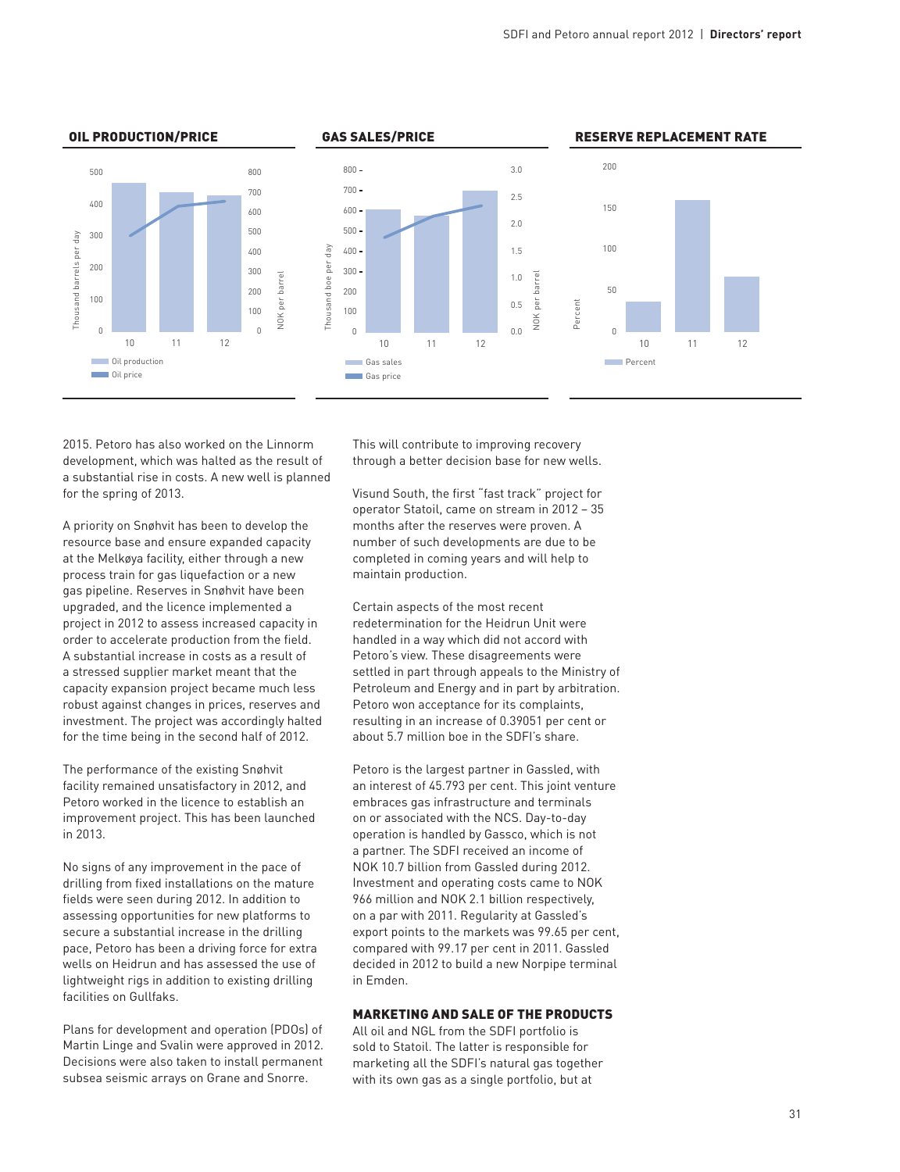

2015. Petoro has also worked on the Linnorm development, which was halted as the result of a substantial rise in costs. A new well is planned for the spring of 2013.

A priority on Snøhvit has been to develop the resource base and ensure expanded capacity at the Melkøya facility, either through a new process train for gas liquefaction or a new gas pipeline. Reserves in Snøhvit have been upgraded, and the licence implemented a project in 2012 to assess increased capacity in order to accelerate production from the field. A substantial increase in costs as a result of a stressed supplier market meant that the capacity expansion project became much less robust against changes in prices, reserves and investment. The project was accordingly halted for the time being in the second half of 2012.

The performance of the existing Snøhvit facility remained unsatisfactory in 2012, and Petoro worked in the licence to establish an improvement project. This has been launched in 2013.

No signs of any improvement in the pace of drilling from fixed installations on the mature fields were seen during 2012. In addition to assessing opportunities for new platforms to secure a substantial increase in the drilling pace, Petoro has been a driving force for extra wells on Heidrun and has assessed the use of lightweight rigs in addition to existing drilling facilities on Gullfaks.

Plans for development and operation (PDOs) of Martin Linge and Svalin were approved in 2012. Decisions were also taken to install permanent subsea seismic arrays on Grane and Snorre.

This will contribute to improving recovery through a better decision base for new wells.

Visund South, the first "fast track" project for operator Statoil, came on stream in 2012 – 35 months after the reserves were proven. A number of such developments are due to be completed in coming years and will help to maintain production.

Certain aspects of the most recent redetermination for the Heidrun Unit were handled in a way which did not accord with Petoro's view. These disagreements were settled in part through appeals to the Ministry of Petroleum and Energy and in part by arbitration. Petoro won acceptance for its complaints, resulting in an increase of 0.39051 per cent or about 5.7 million boe in the SDFI's share.

Petoro is the largest partner in Gassled, with an interest of 45.793 per cent. This joint venture embraces gas infrastructure and terminals on or associated with the NCS. Day-to-day operation is handled by Gassco, which is not a partner. The SDFI received an income of NOK 10.7 billion from Gassled during 2012. Investment and operating costs came to NOK 966 million and NOK 2.1 billion respectively, on a par with 2011. Regularity at Gassled's export points to the markets was 99.65 per cent, compared with 99.17 per cent in 2011. Gassled decided in 2012 to build a new Norpipe terminal in Emden.

# Marketing and sale of the products

All oil and NGL from the SDFI portfolio is sold to Statoil. The latter is responsible for marketing all the SDFI's natural gas together with its own gas as a single portfolio, but at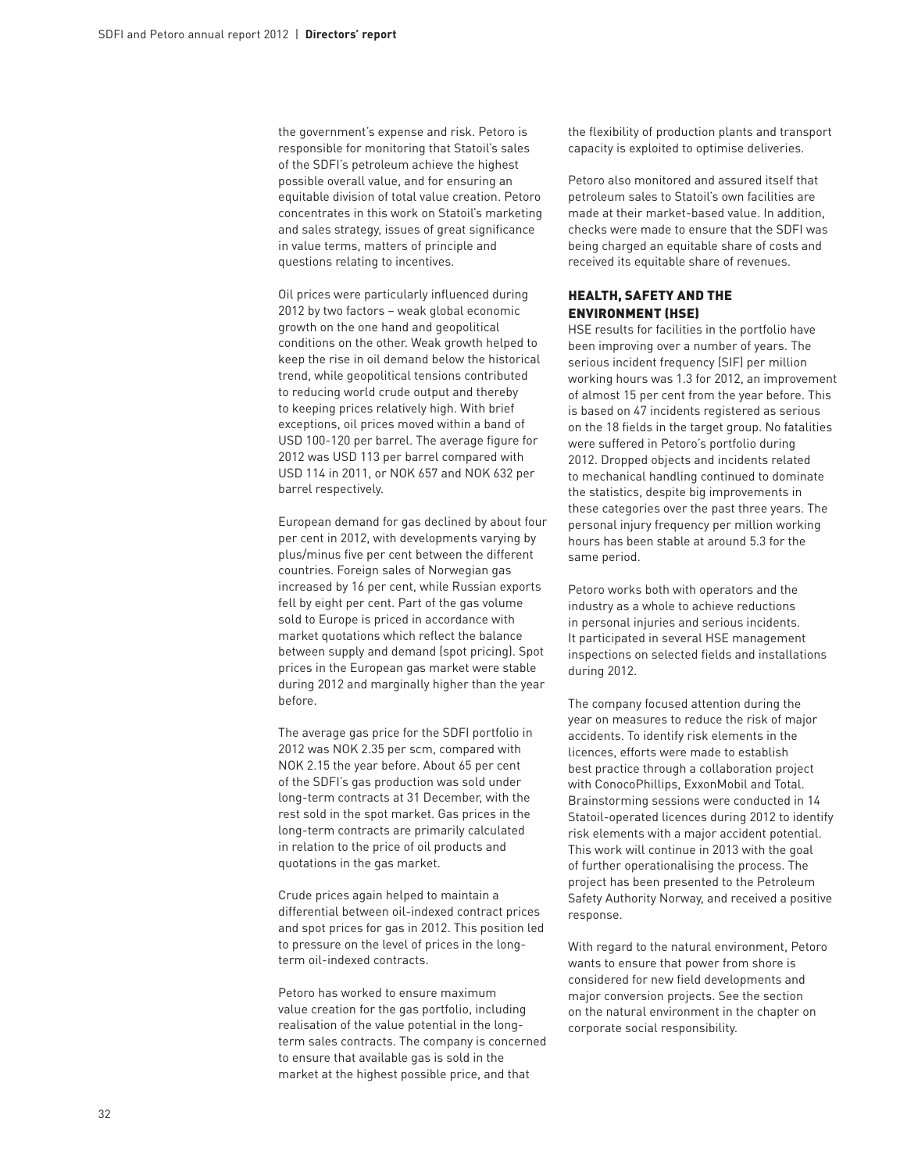the government's expense and risk. Petoro is responsible for monitoring that Statoil's sales of the SDFI's petroleum achieve the highest possible overall value, and for ensuring an equitable division of total value creation. Petoro concentrates in this work on Statoil's marketing and sales strategy, issues of great significance in value terms, matters of principle and questions relating to incentives.

Oil prices were particularly influenced during 2012 by two factors – weak global economic growth on the one hand and geopolitical conditions on the other. Weak growth helped to keep the rise in oil demand below the historical trend, while geopolitical tensions contributed to reducing world crude output and thereby to keeping prices relatively high. With brief exceptions, oil prices moved within a band of USD 100-120 per barrel. The average figure for 2012 was USD 113 per barrel compared with USD 114 in 2011, or NOK 657 and NOK 632 per barrel respectively.

European demand for gas declined by about four per cent in 2012, with developments varying by plus/minus five per cent between the different countries. Foreign sales of Norwegian gas increased by 16 per cent, while Russian exports fell by eight per cent. Part of the gas volume sold to Europe is priced in accordance with market quotations which reflect the balance between supply and demand (spot pricing). Spot prices in the European gas market were stable during 2012 and marginally higher than the year before.

The average gas price for the SDFI portfolio in 2012 was NOK 2.35 per scm, compared with NOK 2.15 the year before. About 65 per cent of the SDFI's gas production was sold under long-term contracts at 31 December, with the rest sold in the spot market. Gas prices in the long-term contracts are primarily calculated in relation to the price of oil products and quotations in the gas market.

Crude prices again helped to maintain a differential between oil-indexed contract prices and spot prices for gas in 2012. This position led to pressure on the level of prices in the longterm oil-indexed contracts.

Petoro has worked to ensure maximum value creation for the gas portfolio, including realisation of the value potential in the longterm sales contracts. The company is concerned to ensure that available gas is sold in the market at the highest possible price, and that

the flexibility of production plants and transport capacity is exploited to optimise deliveries.

Petoro also monitored and assured itself that petroleum sales to Statoil's own facilities are made at their market-based value. In addition, checks were made to ensure that the SDFI was being charged an equitable share of costs and received its equitable share of revenues.

# Health, safety and the environment (HSE)

HSE results for facilities in the portfolio have been improving over a number of years. The serious incident frequency (SIF) per million working hours was 1.3 for 2012, an improvement of almost 15 per cent from the year before. This is based on 47 incidents registered as serious on the 18 fields in the target group. No fatalities were suffered in Petoro's portfolio during 2012. Dropped objects and incidents related to mechanical handling continued to dominate the statistics, despite big improvements in these categories over the past three years. The personal injury frequency per million working hours has been stable at around 5.3 for the same period.

Petoro works both with operators and the industry as a whole to achieve reductions in personal injuries and serious incidents. It participated in several HSE management inspections on selected fields and installations during 2012.

The company focused attention during the year on measures to reduce the risk of major accidents. To identify risk elements in the licences, efforts were made to establish best practice through a collaboration project with ConocoPhillips, ExxonMobil and Total. Brainstorming sessions were conducted in 14 Statoil-operated licences during 2012 to identify risk elements with a major accident potential. This work will continue in 2013 with the goal of further operationalising the process. The project has been presented to the Petroleum Safety Authority Norway, and received a positive response.

With regard to the natural environment, Petoro wants to ensure that power from shore is considered for new field developments and major conversion projects. See the section on the natural environment in the chapter on corporate social responsibility.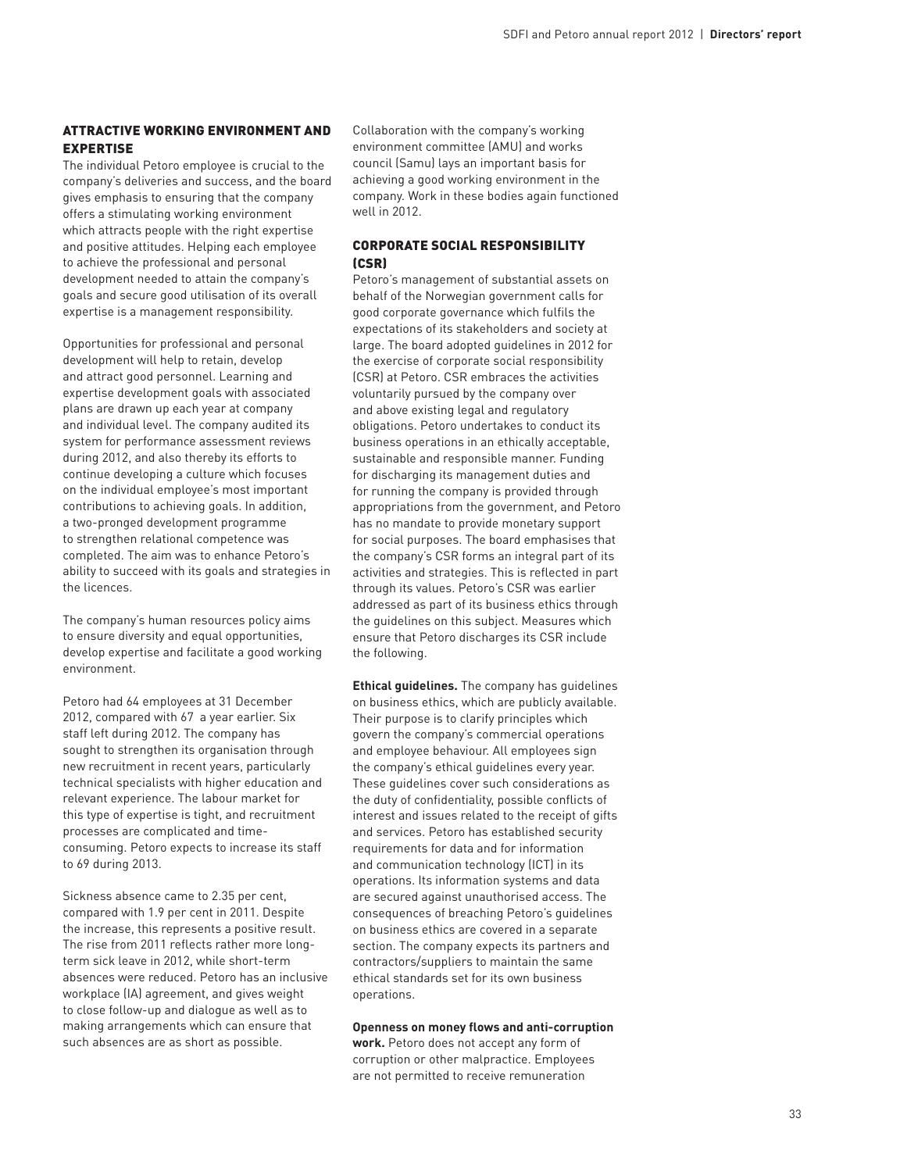# Attractive working environment and expertise

The individual Petoro employee is crucial to the company's deliveries and success, and the board gives emphasis to ensuring that the company offers a stimulating working environment which attracts people with the right expertise and positive attitudes. Helping each employee to achieve the professional and personal development needed to attain the company's goals and secure good utilisation of its overall expertise is a management responsibility.

Opportunities for professional and personal development will help to retain, develop and attract good personnel. Learning and expertise development goals with associated plans are drawn up each year at company and individual level. The company audited its system for performance assessment reviews during 2012, and also thereby its efforts to continue developing a culture which focuses on the individual employee's most important contributions to achieving goals. In addition, a two-pronged development programme to strengthen relational competence was completed. The aim was to enhance Petoro's ability to succeed with its goals and strategies in the licences.

The company's human resources policy aims to ensure diversity and equal opportunities, develop expertise and facilitate a good working environment.

Petoro had 64 employees at 31 December 2012, compared with 67 a year earlier. Six staff left during 2012. The company has sought to strengthen its organisation through new recruitment in recent years, particularly technical specialists with higher education and relevant experience. The labour market for this type of expertise is tight, and recruitment processes are complicated and timeconsuming. Petoro expects to increase its staff to 69 during 2013.

Sickness absence came to 2.35 per cent, compared with 1.9 per cent in 2011. Despite the increase, this represents a positive result. The rise from 2011 reflects rather more longterm sick leave in 2012, while short-term absences were reduced. Petoro has an inclusive workplace (IA) agreement, and gives weight to close follow-up and dialogue as well as to making arrangements which can ensure that such absences are as short as possible.

Collaboration with the company's working environment committee (AMU) and works council (Samu) lays an important basis for achieving a good working environment in the company. Work in these bodies again functioned well in 2012.

# Corporate social responsibility (CSR)

Petoro's management of substantial assets on behalf of the Norwegian government calls for good corporate governance which fulfils the expectations of its stakeholders and society at large. The board adopted guidelines in 2012 for the exercise of corporate social responsibility (CSR) at Petoro. CSR embraces the activities voluntarily pursued by the company over and above existing legal and regulatory obligations. Petoro undertakes to conduct its business operations in an ethically acceptable, sustainable and responsible manner. Funding for discharging its management duties and for running the company is provided through appropriations from the government, and Petoro has no mandate to provide monetary support for social purposes. The board emphasises that the company's CSR forms an integral part of its activities and strategies. This is reflected in part through its values. Petoro's CSR was earlier addressed as part of its business ethics through the guidelines on this subject. Measures which ensure that Petoro discharges its CSR include the following.

**Ethical guidelines.** The company has guidelines on business ethics, which are publicly available. Their purpose is to clarify principles which govern the company's commercial operations and employee behaviour. All employees sign the company's ethical guidelines every year. These guidelines cover such considerations as the duty of confidentiality, possible conflicts of interest and issues related to the receipt of gifts and services. Petoro has established security requirements for data and for information and communication technology (ICT) in its operations. Its information systems and data are secured against unauthorised access. The consequences of breaching Petoro's guidelines on business ethics are covered in a separate section. The company expects its partners and contractors/suppliers to maintain the same ethical standards set for its own business operations.

**Openness on money flows and anti-corruption work.** Petoro does not accept any form of corruption or other malpractice. Employees are not permitted to receive remuneration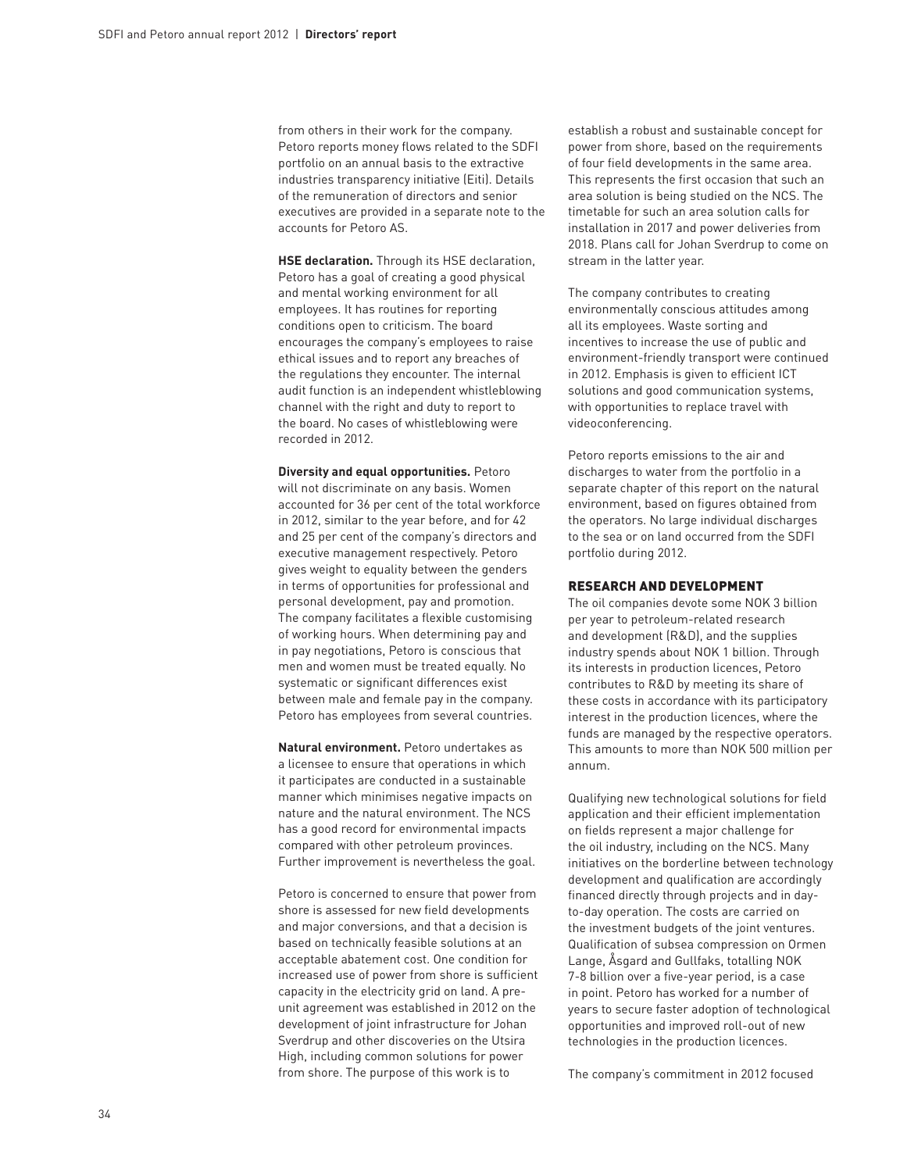from others in their work for the company. Petoro reports money flows related to the SDFI portfolio on an annual basis to the extractive industries transparency initiative (Eiti). Details of the remuneration of directors and senior executives are provided in a separate note to the accounts for Petoro AS.

**HSE declaration.** Through its HSE declaration, Petoro has a goal of creating a good physical and mental working environment for all employees. It has routines for reporting conditions open to criticism. The board encourages the company's employees to raise ethical issues and to report any breaches of the regulations they encounter. The internal audit function is an independent whistleblowing channel with the right and duty to report to the board. No cases of whistleblowing were recorded in 2012.

**Diversity and equal opportunities.** Petoro will not discriminate on any basis. Women accounted for 36 per cent of the total workforce in 2012, similar to the year before, and for 42 and 25 per cent of the company's directors and executive management respectively. Petoro gives weight to equality between the genders in terms of opportunities for professional and personal development, pay and promotion. The company facilitates a flexible customising of working hours. When determining pay and in pay negotiations, Petoro is conscious that men and women must be treated equally. No systematic or significant differences exist between male and female pay in the company. Petoro has employees from several countries.

**Natural environment.** Petoro undertakes as a licensee to ensure that operations in which it participates are conducted in a sustainable manner which minimises negative impacts on nature and the natural environment. The NCS has a good record for environmental impacts compared with other petroleum provinces. Further improvement is nevertheless the goal.

Petoro is concerned to ensure that power from shore is assessed for new field developments and major conversions, and that a decision is based on technically feasible solutions at an acceptable abatement cost. One condition for increased use of power from shore is sufficient capacity in the electricity grid on land. A preunit agreement was established in 2012 on the development of joint infrastructure for Johan Sverdrup and other discoveries on the Utsira High, including common solutions for power from shore. The purpose of this work is to

establish a robust and sustainable concept for power from shore, based on the requirements of four field developments in the same area. This represents the first occasion that such an area solution is being studied on the NCS. The timetable for such an area solution calls for installation in 2017 and power deliveries from 2018. Plans call for Johan Sverdrup to come on stream in the latter year.

The company contributes to creating environmentally conscious attitudes among all its employees. Waste sorting and incentives to increase the use of public and environment-friendly transport were continued in 2012. Emphasis is given to efficient ICT solutions and good communication systems, with opportunities to replace travel with videoconferencing.

Petoro reports emissions to the air and discharges to water from the portfolio in a separate chapter of this report on the natural environment, based on figures obtained from the operators. No large individual discharges to the sea or on land occurred from the SDFI portfolio during 2012.

#### Research and development

The oil companies devote some NOK 3 billion per year to petroleum-related research and development (R&D), and the supplies industry spends about NOK 1 billion. Through its interests in production licences, Petoro contributes to R&D by meeting its share of these costs in accordance with its participatory interest in the production licences, where the funds are managed by the respective operators. This amounts to more than NOK 500 million per annum.

Qualifying new technological solutions for field application and their efficient implementation on fields represent a major challenge for the oil industry, including on the NCS. Many initiatives on the borderline between technology development and qualification are accordingly financed directly through projects and in dayto-day operation. The costs are carried on the investment budgets of the joint ventures. Qualification of subsea compression on Ormen Lange, Åsgard and Gullfaks, totalling NOK 7-8 billion over a five-year period, is a case in point. Petoro has worked for a number of years to secure faster adoption of technological opportunities and improved roll-out of new technologies in the production licences.

The company's commitment in 2012 focused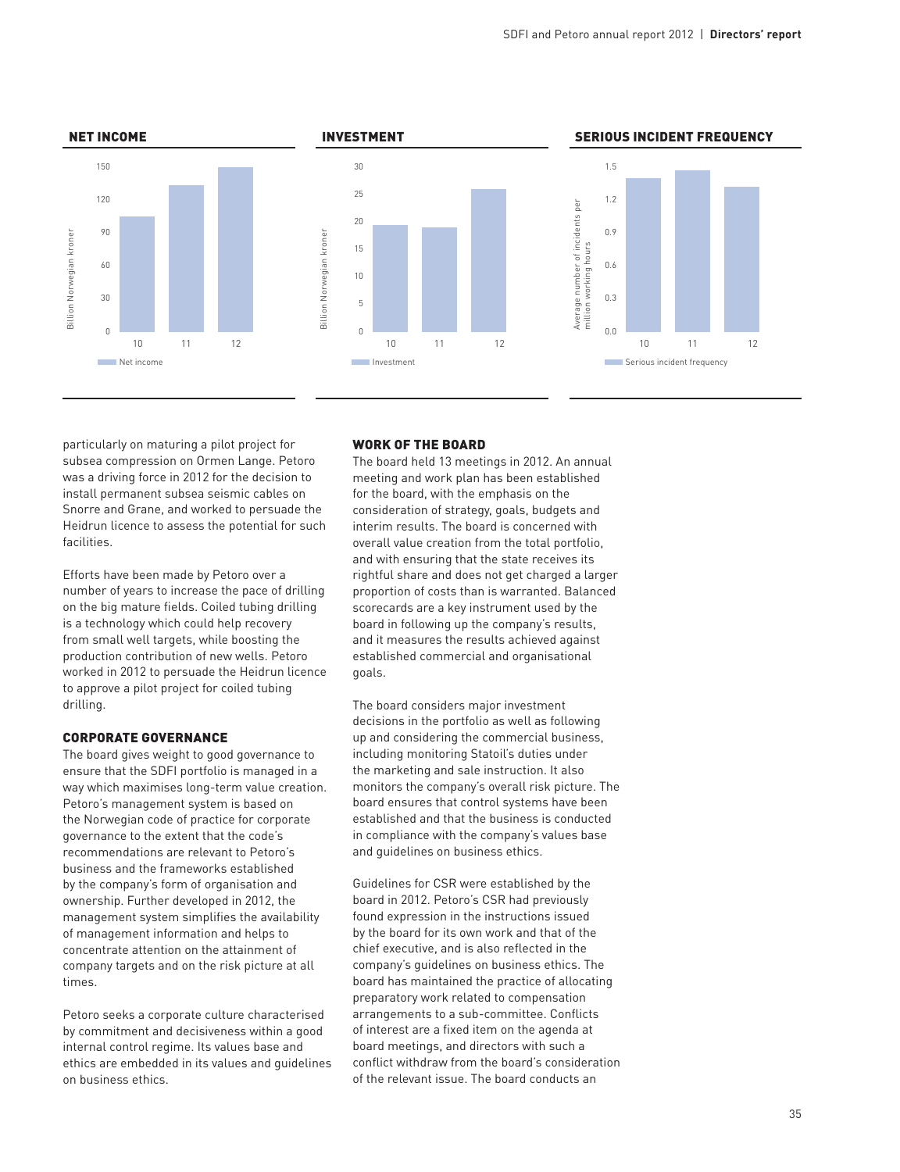





particularly on maturing a pilot project for subsea compression on Ormen Lange. Petoro was a driving force in 2012 for the decision to install permanent subsea seismic cables on Snorre and Grane, and worked to persuade the Heidrun licence to assess the potential for such facilities.

Efforts have been made by Petoro over a number of years to increase the pace of drilling on the big mature fields. Coiled tubing drilling is a technology which could help recovery from small well targets, while boosting the production contribution of new wells. Petoro worked in 2012 to persuade the Heidrun licence to approve a pilot project for coiled tubing drilling.

### Corporate governance

The board gives weight to good governance to ensure that the SDFI portfolio is managed in a way which maximises long-term value creation. Petoro's management system is based on the Norwegian code of practice for corporate governance to the extent that the code's recommendations are relevant to Petoro's business and the frameworks established by the company's form of organisation and ownership. Further developed in 2012, the management system simplifies the availability of management information and helps to concentrate attention on the attainment of company targets and on the risk picture at all times.

Petoro seeks a corporate culture characterised by commitment and decisiveness within a good internal control regime. Its values base and ethics are embedded in its values and guidelines on business ethics.

#### WORK OF THE BOARD

The board held 13 meetings in 2012. An annual meeting and work plan has been established for the board, with the emphasis on the consideration of strategy, goals, budgets and interim results. The board is concerned with overall value creation from the total portfolio, and with ensuring that the state receives its rightful share and does not get charged a larger proportion of costs than is warranted. Balanced scorecards are a key instrument used by the board in following up the company's results, and it measures the results achieved against established commercial and organisational goals.

The board considers major investment decisions in the portfolio as well as following up and considering the commercial business, including monitoring Statoil's duties under the marketing and sale instruction. It also monitors the company's overall risk picture. The board ensures that control systems have been established and that the business is conducted in compliance with the company's values base and guidelines on business ethics.

Guidelines for CSR were established by the board in 2012. Petoro's CSR had previously found expression in the instructions issued by the board for its own work and that of the chief executive, and is also reflected in the company's guidelines on business ethics. The board has maintained the practice of allocating preparatory work related to compensation arrangements to a sub-committee. Conflicts of interest are a fixed item on the agenda at board meetings, and directors with such a conflict withdraw from the board's consideration of the relevant issue. The board conducts an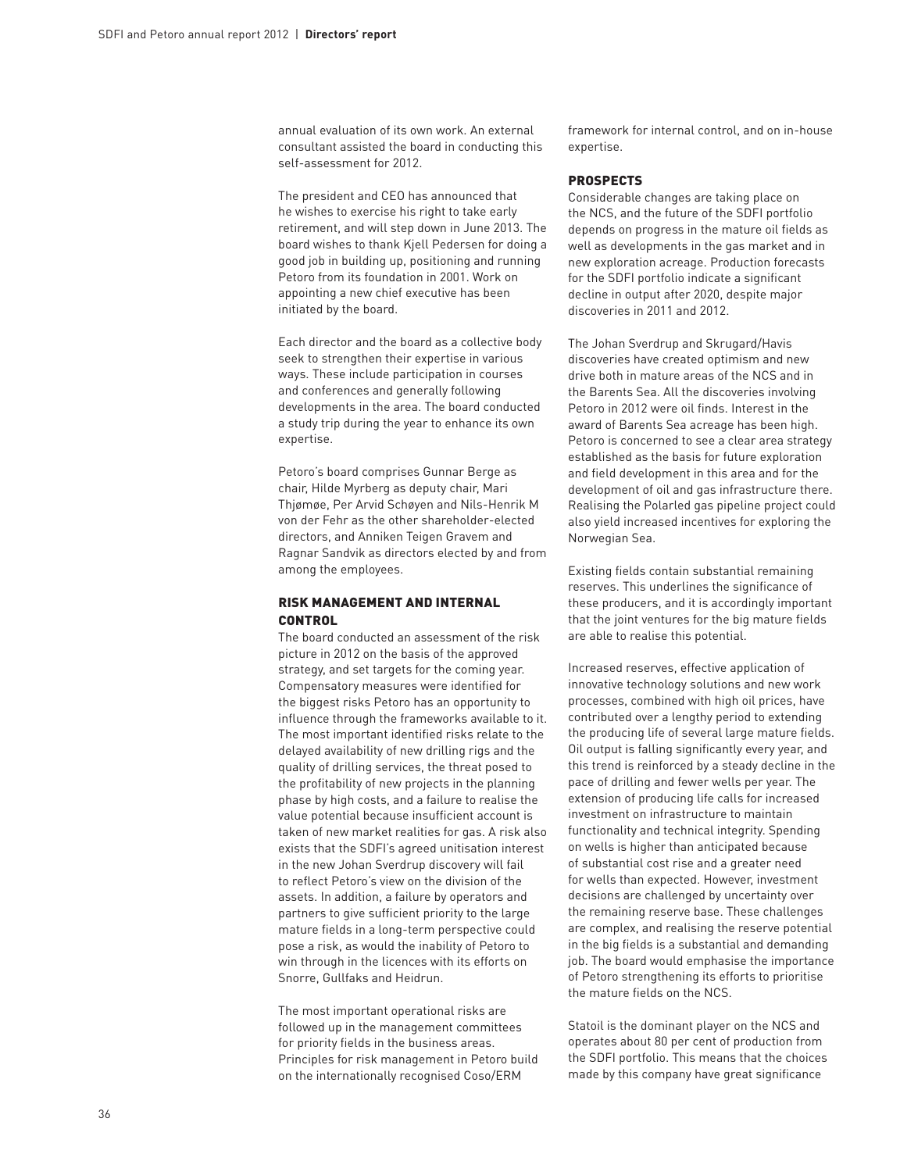annual evaluation of its own work. An external consultant assisted the board in conducting this self-assessment for 2012.

The president and CEO has announced that he wishes to exercise his right to take early retirement, and will step down in June 2013. The board wishes to thank Kjell Pedersen for doing a good job in building up, positioning and running Petoro from its foundation in 2001. Work on appointing a new chief executive has been initiated by the board.

Each director and the board as a collective body seek to strengthen their expertise in various ways. These include participation in courses and conferences and generally following developments in the area. The board conducted a study trip during the year to enhance its own expertise.

Petoro's board comprises Gunnar Berge as chair, Hilde Myrberg as deputy chair, Mari Thjømøe, Per Arvid Schøyen and Nils-Henrik M von der Fehr as the other shareholder-elected directors, and Anniken Teigen Gravem and Ragnar Sandvik as directors elected by and from among the employees.

# Risk management and internal **CONTROL**

The board conducted an assessment of the risk picture in 2012 on the basis of the approved strategy, and set targets for the coming year. Compensatory measures were identified for the biggest risks Petoro has an opportunity to influence through the frameworks available to it. The most important identified risks relate to the delayed availability of new drilling rigs and the quality of drilling services, the threat posed to the profitability of new projects in the planning phase by high costs, and a failure to realise the value potential because insufficient account is taken of new market realities for gas. A risk also exists that the SDFI's agreed unitisation interest in the new Johan Sverdrup discovery will fail to reflect Petoro's view on the division of the assets. In addition, a failure by operators and partners to give sufficient priority to the large mature fields in a long-term perspective could pose a risk, as would the inability of Petoro to win through in the licences with its efforts on Snorre, Gullfaks and Heidrun.

The most important operational risks are followed up in the management committees for priority fields in the business areas. Principles for risk management in Petoro build on the internationally recognised Coso/ERM

framework for internal control, and on in-house expertise.

#### Prospects

Considerable changes are taking place on the NCS, and the future of the SDFI portfolio depends on progress in the mature oil fields as well as developments in the gas market and in new exploration acreage. Production forecasts for the SDFI portfolio indicate a significant decline in output after 2020, despite major discoveries in 2011 and 2012.

The Johan Sverdrup and Skrugard/Havis discoveries have created optimism and new drive both in mature areas of the NCS and in the Barents Sea. All the discoveries involving Petoro in 2012 were oil finds. Interest in the award of Barents Sea acreage has been high. Petoro is concerned to see a clear area strategy established as the basis for future exploration and field development in this area and for the development of oil and gas infrastructure there. Realising the Polarled gas pipeline project could also yield increased incentives for exploring the Norwegian Sea.

Existing fields contain substantial remaining reserves. This underlines the significance of these producers, and it is accordingly important that the joint ventures for the big mature fields are able to realise this potential.

Increased reserves, effective application of innovative technology solutions and new work processes, combined with high oil prices, have contributed over a lengthy period to extending the producing life of several large mature fields. Oil output is falling significantly every year, and this trend is reinforced by a steady decline in the pace of drilling and fewer wells per year. The extension of producing life calls for increased investment on infrastructure to maintain functionality and technical integrity. Spending on wells is higher than anticipated because of substantial cost rise and a greater need for wells than expected. However, investment decisions are challenged by uncertainty over the remaining reserve base. These challenges are complex, and realising the reserve potential in the big fields is a substantial and demanding job. The board would emphasise the importance of Petoro strengthening its efforts to prioritise the mature fields on the NCS.

Statoil is the dominant player on the NCS and operates about 80 per cent of production from the SDFI portfolio. This means that the choices made by this company have great significance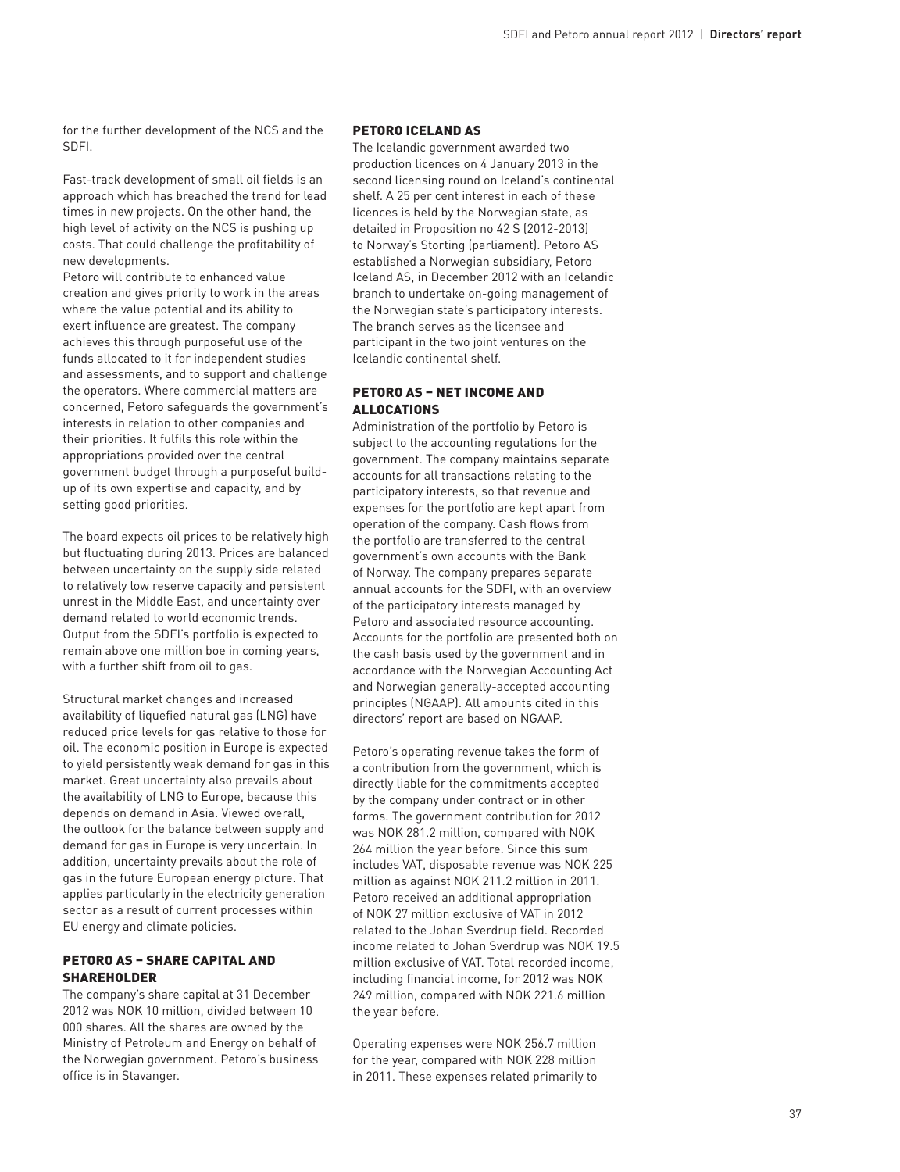for the further development of the NCS and the SDFI.

Fast-track development of small oil fields is an approach which has breached the trend for lead times in new projects. On the other hand, the high level of activity on the NCS is pushing up costs. That could challenge the profitability of new developments.

Petoro will contribute to enhanced value creation and gives priority to work in the areas where the value potential and its ability to exert influence are greatest. The company achieves this through purposeful use of the funds allocated to it for independent studies and assessments, and to support and challenge the operators. Where commercial matters are concerned, Petoro safeguards the government's interests in relation to other companies and their priorities. It fulfils this role within the appropriations provided over the central government budget through a purposeful buildup of its own expertise and capacity, and by setting good priorities.

The board expects oil prices to be relatively high but fluctuating during 2013. Prices are balanced between uncertainty on the supply side related to relatively low reserve capacity and persistent unrest in the Middle East, and uncertainty over demand related to world economic trends. Output from the SDFI's portfolio is expected to remain above one million boe in coming years, with a further shift from oil to gas.

Structural market changes and increased availability of liquefied natural gas (LNG) have reduced price levels for gas relative to those for oil. The economic position in Europe is expected to yield persistently weak demand for gas in this market. Great uncertainty also prevails about the availability of LNG to Europe, because this depends on demand in Asia. Viewed overall, the outlook for the balance between supply and demand for gas in Europe is very uncertain. In addition, uncertainty prevails about the role of gas in the future European energy picture. That applies particularly in the electricity generation sector as a result of current processes within EU energy and climate policies.

# Petoro AS – share capital and **SHAREHOLDER**

The company's share capital at 31 December 2012 was NOK 10 million, divided between 10 000 shares. All the shares are owned by the Ministry of Petroleum and Energy on behalf of the Norwegian government. Petoro's business office is in Stavanger.

# Petoro Iceland AS

The Icelandic government awarded two production licences on 4 January 2013 in the second licensing round on Iceland's continental shelf. A 25 per cent interest in each of these licences is held by the Norwegian state, as detailed in Proposition no 42 S (2012-2013) to Norway's Storting (parliament). Petoro AS established a Norwegian subsidiary, Petoro Iceland AS, in December 2012 with an Icelandic branch to undertake on-going management of the Norwegian state's participatory interests. The branch serves as the licensee and participant in the two joint ventures on the Icelandic continental shelf.

# Petoro AS – net income and allocations

Administration of the portfolio by Petoro is subject to the accounting regulations for the government. The company maintains separate accounts for all transactions relating to the participatory interests, so that revenue and expenses for the portfolio are kept apart from operation of the company. Cash flows from the portfolio are transferred to the central government's own accounts with the Bank of Norway. The company prepares separate annual accounts for the SDFI, with an overview of the participatory interests managed by Petoro and associated resource accounting. Accounts for the portfolio are presented both on the cash basis used by the government and in accordance with the Norwegian Accounting Act and Norwegian generally-accepted accounting principles (NGAAP). All amounts cited in this directors' report are based on NGAAP.

Petoro's operating revenue takes the form of a contribution from the government, which is directly liable for the commitments accepted by the company under contract or in other forms. The government contribution for 2012 was NOK 281.2 million, compared with NOK 264 million the year before. Since this sum includes VAT, disposable revenue was NOK 225 million as against NOK 211.2 million in 2011. Petoro received an additional appropriation of NOK 27 million exclusive of VAT in 2012 related to the Johan Sverdrup field. Recorded income related to Johan Sverdrup was NOK 19.5 million exclusive of VAT. Total recorded income, including financial income, for 2012 was NOK 249 million, compared with NOK 221.6 million the year before.

Operating expenses were NOK 256.7 million for the year, compared with NOK 228 million in 2011. These expenses related primarily to